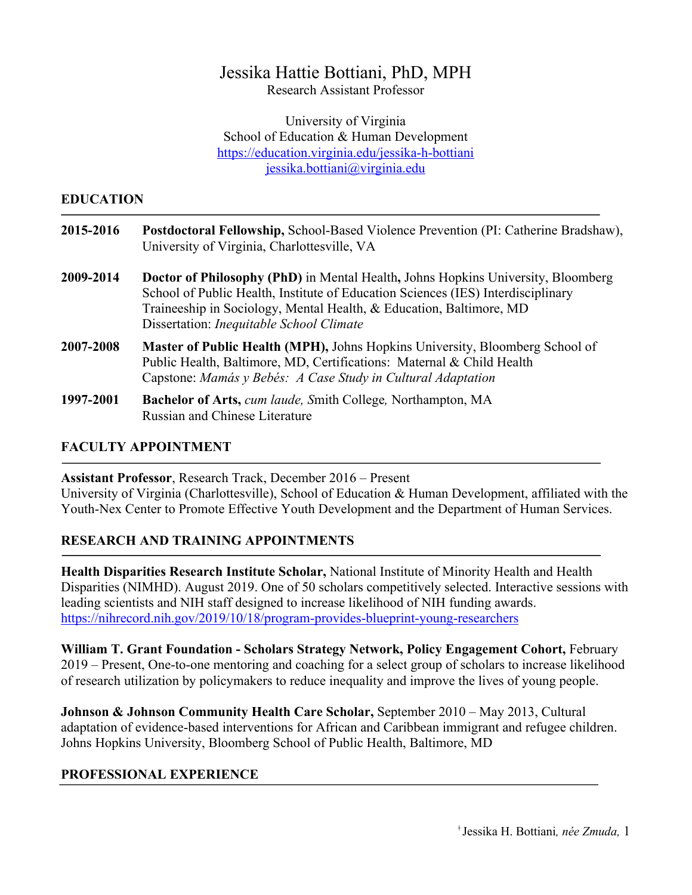# Jessika Hattie Bottiani, PhD, MPH

Research Assistant Professor

University of Virginia School of Education & Human Development https://education.virginia.edu/jessika-h-bottiani jessika.bottiani@virginia.edu

### **EDUCATION**

| 2015-2016 | Postdoctoral Fellowship, School-Based Violence Prevention (PI: Catherine Bradshaw),<br>University of Virginia, Charlottesville, VA                                          |
|-----------|-----------------------------------------------------------------------------------------------------------------------------------------------------------------------------|
| 2009-2014 | <b>Doctor of Philosophy (PhD)</b> in Mental Health, Johns Hopkins University, Bloomberg<br>School of Public Health, Institute of Education Sciences (IES) Interdisciplinary |

Dissertation: *Inequitable School Climate* **2007-2008 Master of Public Health (MPH),** Johns Hopkins University, Bloomberg School of Public Health, Baltimore, MD, Certifications: Maternal & Child Health

Traineeship in Sociology, Mental Health, & Education, Baltimore, MD

- Capstone: *Mamás y Bebés: A Case Study in Cultural Adaptation*
- **1997-2001 Bachelor of Arts,** *cum laude, S*mith College*,* Northampton, MA Russian and Chinese Literature

### **FACULTY APPOINTMENT**

**Assistant Professor**, Research Track, December 2016 – Present

University of Virginia (Charlottesville), School of Education & Human Development, affiliated with the Youth-Nex Center to Promote Effective Youth Development and the Department of Human Services.

# **RESEARCH AND TRAINING APPOINTMENTS**

**Health Disparities Research Institute Scholar,** National Institute of Minority Health and Health Disparities (NIMHD). August 2019. One of 50 scholars competitively selected. Interactive sessions with leading scientists and NIH staff designed to increase likelihood of NIH funding awards. https://nihrecord.nih.gov/2019/10/18/program-provides-blueprint-young-researchers

**William T. Grant Foundation - Scholars Strategy Network, Policy Engagement Cohort,** February 2019 – Present, One-to-one mentoring and coaching for a select group of scholars to increase likelihood of research utilization by policymakers to reduce inequality and improve the lives of young people.

**Johnson & Johnson Community Health Care Scholar,** September 2010 – May 2013, Cultural adaptation of evidence-based interventions for African and Caribbean immigrant and refugee children. Johns Hopkins University, Bloomberg School of Public Health, Baltimore, MD

# **PROFESSIONAL EXPERIENCE**

ǂ Jessika H. Bottiani*, née Zmuda,* 1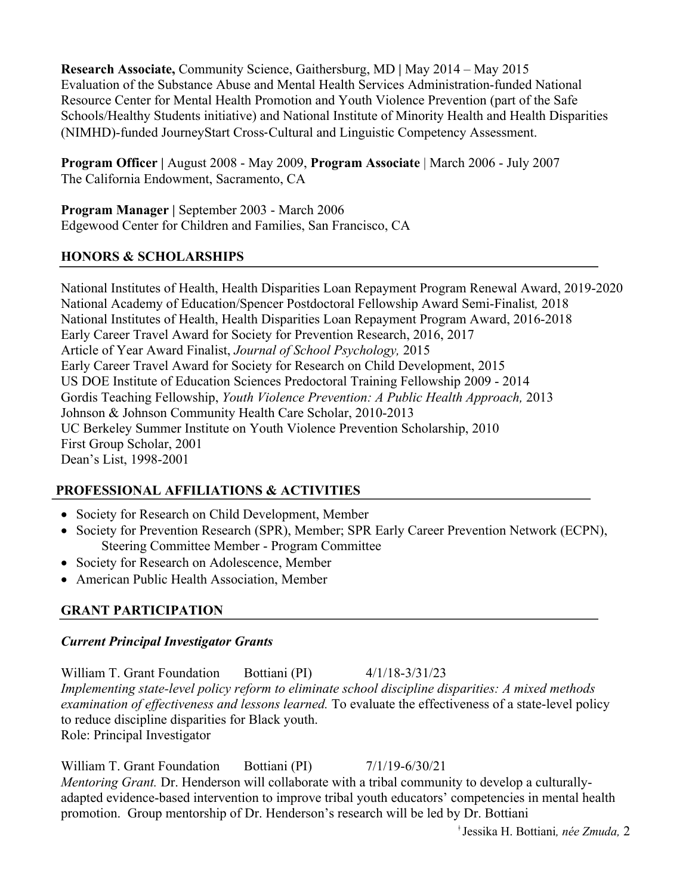**Research Associate,** Community Science, Gaithersburg, MD **|** May 2014 – May 2015 Evaluation of the Substance Abuse and Mental Health Services Administration-funded National Resource Center for Mental Health Promotion and Youth Violence Prevention (part of the Safe Schools/Healthy Students initiative) and National Institute of Minority Health and Health Disparities (NIMHD)-funded JourneyStart Cross-Cultural and Linguistic Competency Assessment.

**Program Officer |** August 2008 - May 2009, **Program Associate** | March 2006 - July 2007 The California Endowment, Sacramento, CA

**Program Manager |** September 2003 - March 2006 Edgewood Center for Children and Families, San Francisco, CA

# **HONORS & SCHOLARSHIPS**

National Institutes of Health, Health Disparities Loan Repayment Program Renewal Award, 2019-2020 National Academy of Education/Spencer Postdoctoral Fellowship Award Semi-Finalist*,* 2018 National Institutes of Health, Health Disparities Loan Repayment Program Award, 2016-2018 Early Career Travel Award for Society for Prevention Research, 2016, 2017 Article of Year Award Finalist, *Journal of School Psychology,* 2015 Early Career Travel Award for Society for Research on Child Development, 2015 US DOE Institute of Education Sciences Predoctoral Training Fellowship 2009 - 2014 Gordis Teaching Fellowship, *Youth Violence Prevention: A Public Health Approach,* 2013 Johnson & Johnson Community Health Care Scholar, 2010-2013 UC Berkeley Summer Institute on Youth Violence Prevention Scholarship, 2010 First Group Scholar, 2001 Dean's List, 1998-2001

# **PROFESSIONAL AFFILIATIONS & ACTIVITIES**

- Society for Research on Child Development, Member
- Society for Prevention Research (SPR), Member; SPR Early Career Prevention Network (ECPN), Steering Committee Member - Program Committee
- Society for Research on Adolescence, Member
- American Public Health Association, Member

# **GRANT PARTICIPATION**

### *Current Principal Investigator Grants*

William T. Grant Foundation Bottiani (PI) 4/1/18-3/31/23 *Implementing state-level policy reform to eliminate school discipline disparities: A mixed methods examination of effectiveness and lessons learned.* To evaluate the effectiveness of a state-level policy to reduce discipline disparities for Black youth. Role: Principal Investigator

William T. Grant Foundation Bottiani (PI)  $7/1/19-6/30/21$ *Mentoring Grant.* Dr. Henderson will collaborate with a tribal community to develop a culturallyadapted evidence-based intervention to improve tribal youth educators' competencies in mental health promotion. Group mentorship of Dr. Henderson's research will be led by Dr. Bottiani

ǂ Jessika H. Bottiani*, née Zmuda,* 2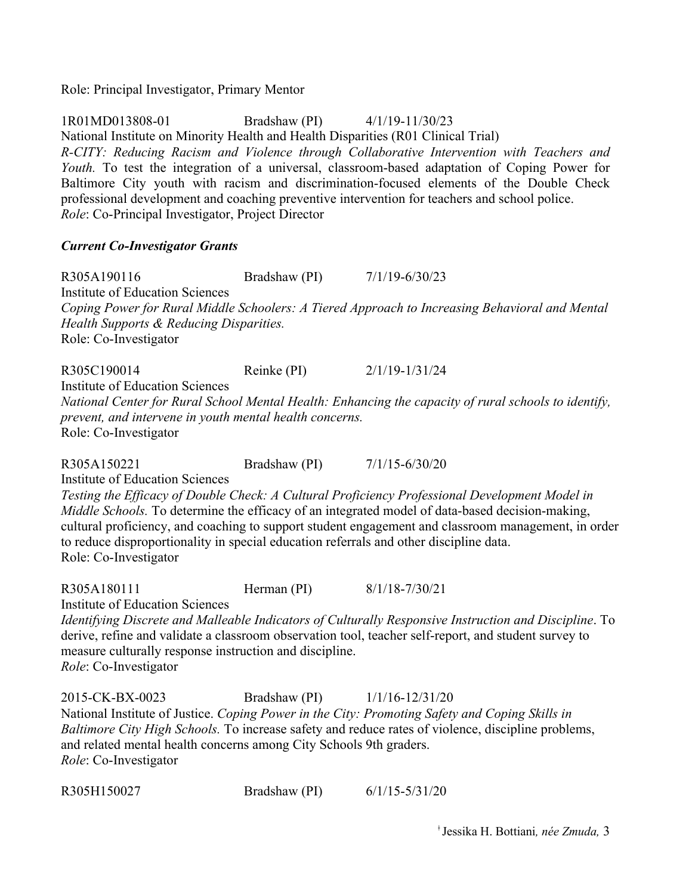Role: Principal Investigator, Primary Mentor

1R01MD013808-01 Bradshaw (PI) 4/1/19-11/30/23 National Institute on Minority Health and Health Disparities (R01 Clinical Trial) *R-CITY: Reducing Racism and Violence through Collaborative Intervention with Teachers and Youth.* To test the integration of a universal, classroom-based adaptation of Coping Power for Baltimore City youth with racism and discrimination-focused elements of the Double Check professional development and coaching preventive intervention for teachers and school police. *Role*: Co-Principal Investigator, Project Director

#### *Current Co-Investigator Grants*

R305A190116 Bradshaw (PI)  $7/1/19-6/30/23$ Institute of Education Sciences *Coping Power for Rural Middle Schoolers: A Tiered Approach to Increasing Behavioral and Mental Health Supports & Reducing Disparities.* Role: Co-Investigator

R305C190014 Reinke (PI) 2/1/19-1/31/24 Institute of Education Sciences *National Center for Rural School Mental Health: Enhancing the capacity of rural schools to identify, prevent, and intervene in youth mental health concerns.* Role: Co-Investigator

R305A150221 Bradshaw (PI)  $7/1/15-6/30/20$ Institute of Education Sciences *Testing the Efficacy of Double Check: A Cultural Proficiency Professional Development Model in Middle Schools.* To determine the efficacy of an integrated model of data-based decision-making, cultural proficiency, and coaching to support student engagement and classroom management, in order to reduce disproportionality in special education referrals and other discipline data. Role: Co-Investigator

R305A180111 Herman (PI) 8/1/18-7/30/21 Institute of Education Sciences

*Identifying Discrete and Malleable Indicators of Culturally Responsive Instruction and Discipline*. To derive, refine and validate a classroom observation tool, teacher self-report, and student survey to measure culturally response instruction and discipline. *Role*: Co-Investigator

2015-CK-BX-0023 Bradshaw (PI) 1/1/16-12/31/20 National Institute of Justice. *Coping Power in the City: Promoting Safety and Coping Skills in Baltimore City High Schools.* To increase safety and reduce rates of violence, discipline problems, and related mental health concerns among City Schools 9th graders. *Role*: Co-Investigator

R305H150027 Bradshaw (PI) 6/1/15-5/31/20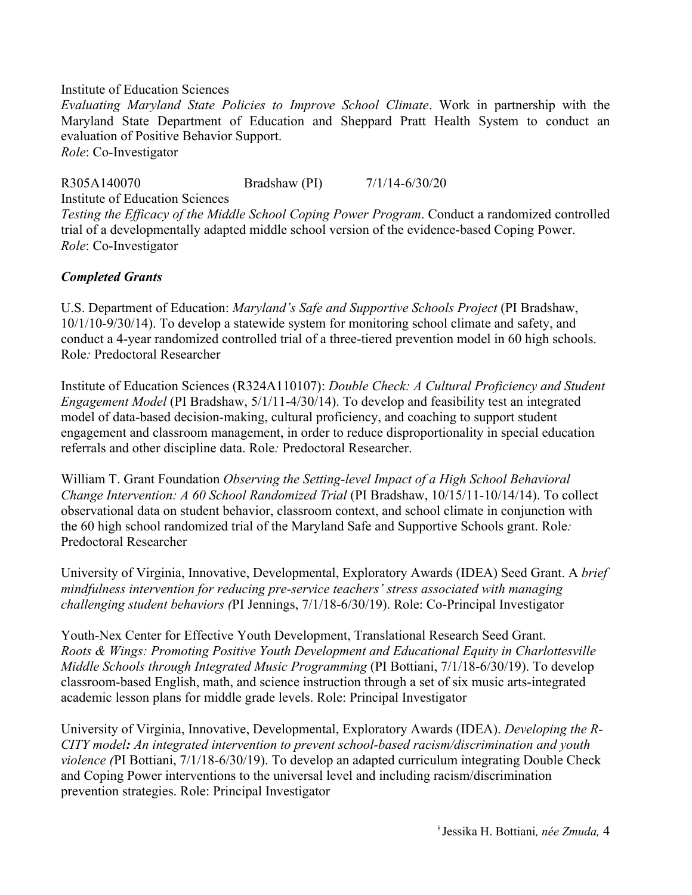#### Institute of Education Sciences

*Evaluating Maryland State Policies to Improve School Climate*. Work in partnership with the Maryland State Department of Education and Sheppard Pratt Health System to conduct an evaluation of Positive Behavior Support. *Role*: Co-Investigator

R305A140070 Bradshaw (PI) 7/1/14-6/30/20 Institute of Education Sciences

*Testing the Efficacy of the Middle School Coping Power Program*. Conduct a randomized controlled trial of a developmentally adapted middle school version of the evidence-based Coping Power. *Role*: Co-Investigator

### *Completed Grants*

U.S. Department of Education: *Maryland's Safe and Supportive Schools Project* (PI Bradshaw, 10/1/10-9/30/14). To develop a statewide system for monitoring school climate and safety, and conduct a 4-year randomized controlled trial of a three-tiered prevention model in 60 high schools. Role*:* Predoctoral Researcher

Institute of Education Sciences (R324A110107): *Double Check: A Cultural Proficiency and Student Engagement Model* (PI Bradshaw, 5/1/11-4/30/14). To develop and feasibility test an integrated model of data-based decision-making, cultural proficiency, and coaching to support student engagement and classroom management, in order to reduce disproportionality in special education referrals and other discipline data. Role*:* Predoctoral Researcher.

William T. Grant Foundation *Observing the Setting-level Impact of a High School Behavioral Change Intervention: A 60 School Randomized Trial* (PI Bradshaw, 10/15/11-10/14/14). To collect observational data on student behavior, classroom context, and school climate in conjunction with the 60 high school randomized trial of the Maryland Safe and Supportive Schools grant. Role*:*  Predoctoral Researcher

University of Virginia, Innovative, Developmental, Exploratory Awards (IDEA) Seed Grant. A *brief mindfulness intervention for reducing pre-service teachers' stress associated with managing challenging student behaviors (*PI Jennings, 7/1/18-6/30/19). Role: Co-Principal Investigator

Youth-Nex Center for Effective Youth Development, Translational Research Seed Grant. *Roots & Wings: Promoting Positive Youth Development and Educational Equity in Charlottesville Middle Schools through Integrated Music Programming* (PI Bottiani, 7/1/18-6/30/19). To develop classroom-based English, math, and science instruction through a set of six music arts-integrated academic lesson plans for middle grade levels. Role: Principal Investigator

University of Virginia, Innovative, Developmental, Exploratory Awards (IDEA). *Developing the R-CITY model: An integrated intervention to prevent school-based racism/discrimination and youth violence (*PI Bottiani, 7/1/18-6/30/19). To develop an adapted curriculum integrating Double Check and Coping Power interventions to the universal level and including racism/discrimination prevention strategies. Role: Principal Investigator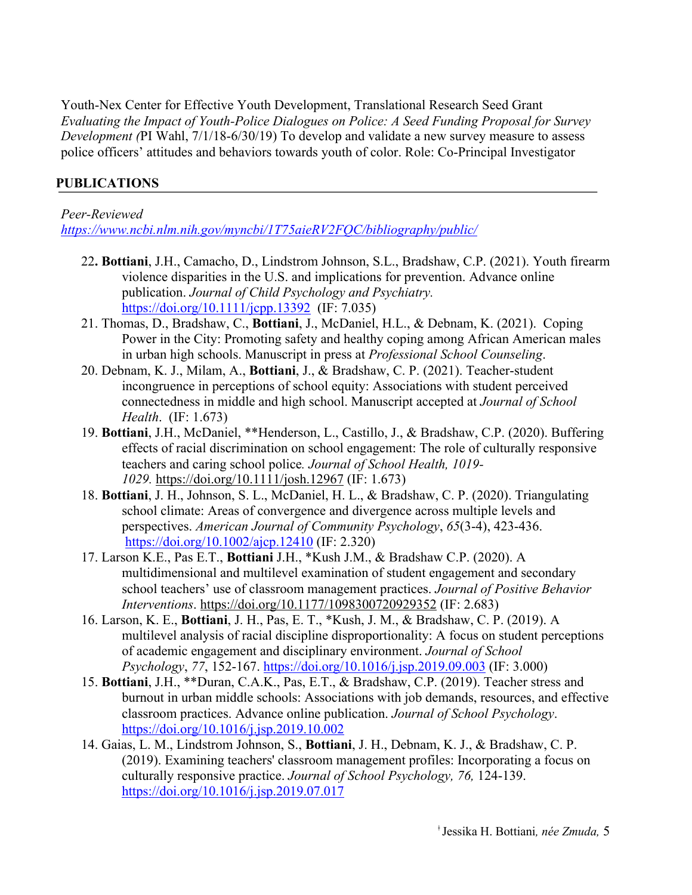Youth-Nex Center for Effective Youth Development, Translational Research Seed Grant *Evaluating the Impact of Youth-Police Dialogues on Police: A Seed Funding Proposal for Survey Development (*PI Wahl, 7/1/18-6/30/19) To develop and validate a new survey measure to assess police officers' attitudes and behaviors towards youth of color. Role: Co-Principal Investigator

# **PUBLICATIONS**

*Peer-Reviewed https://www.ncbi.nlm.nih.gov/myncbi/1T75aieRV2FQC/bibliography/public/*

- 22**. Bottiani**, J.H., Camacho, D., Lindstrom Johnson, S.L., Bradshaw, C.P. (2021). Youth firearm violence disparities in the U.S. and implications for prevention. Advance online publication. *Journal of Child Psychology and Psychiatry.* https://doi.org/10.1111/jcpp.13392 (IF: 7.035)
- 21. Thomas, D., Bradshaw, C., **Bottiani**, J., McDaniel, H.L., & Debnam, K. (2021). Coping Power in the City: Promoting safety and healthy coping among African American males in urban high schools. Manuscript in press at *Professional School Counseling*.
- 20. Debnam, K. J., Milam, A., **Bottiani**, J., & Bradshaw, C. P. (2021). Teacher-student incongruence in perceptions of school equity: Associations with student perceived connectedness in middle and high school. Manuscript accepted at *Journal of School Health*. (IF: 1.673)
- 19. **Bottiani**, J.H., McDaniel, \*\*Henderson, L., Castillo, J., & Bradshaw, C.P. (2020). Buffering effects of racial discrimination on school engagement: The role of culturally responsive teachers and caring school police*. Journal of School Health, 1019- 1029.* https://doi.org/10.1111/josh.12967 (IF: 1.673)
- 18. **Bottiani**, J. H., Johnson, S. L., McDaniel, H. L., & Bradshaw, C. P. (2020). Triangulating school climate: Areas of convergence and divergence across multiple levels and perspectives. *American Journal of Community Psychology*, *65*(3-4), 423-436. https://doi.org/10.1002/ajcp.12410 (IF: 2.320)
- 17. Larson K.E., Pas E.T., **Bottiani** J.H., \*Kush J.M., & Bradshaw C.P. (2020). A multidimensional and multilevel examination of student engagement and secondary school teachers' use of classroom management practices. *Journal of Positive Behavior Interventions*. https://doi.org/10.1177/1098300720929352 (IF: 2.683)
- 16. Larson, K. E., **Bottiani**, J. H., Pas, E. T., \*Kush, J. M., & Bradshaw, C. P. (2019). A multilevel analysis of racial discipline disproportionality: A focus on student perceptions of academic engagement and disciplinary environment. *Journal of School Psychology*, *77*, 152-167. https://doi.org/10.1016/j.jsp.2019.09.003 (IF: 3.000)
- 15. **Bottiani**, J.H., \*\*Duran, C.A.K., Pas, E.T., & Bradshaw, C.P. (2019). Teacher stress and burnout in urban middle schools: Associations with job demands, resources, and effective classroom practices. Advance online publication. *Journal of School Psychology*. https://doi.org/10.1016/j.jsp.2019.10.002
- 14. Gaias, L. M., Lindstrom Johnson, S., **Bottiani**, J. H., Debnam, K. J., & Bradshaw, C. P. (2019). Examining teachers' classroom management profiles: Incorporating a focus on culturally responsive practice. *Journal of School Psychology, 76,* 124-139. https://doi.org/10.1016/j.jsp.2019.07.017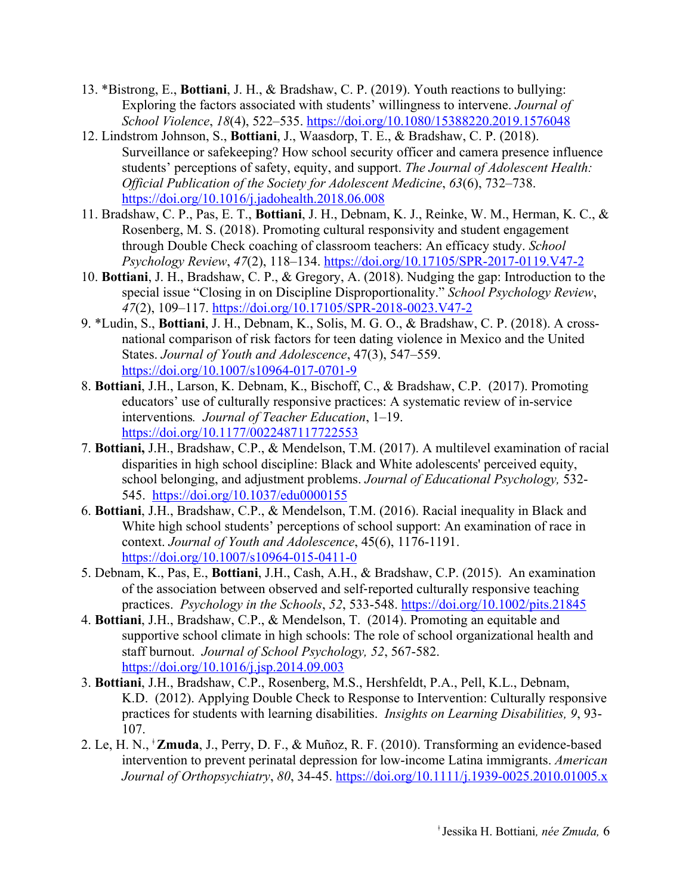- 13. \*Bistrong, E., **Bottiani**, J. H., & Bradshaw, C. P. (2019). Youth reactions to bullying: Exploring the factors associated with students' willingness to intervene. *Journal of School Violence*, *18*(4), 522–535. https://doi.org/10.1080/15388220.2019.1576048
- 12. Lindstrom Johnson, S., **Bottiani**, J., Waasdorp, T. E., & Bradshaw, C. P. (2018). Surveillance or safekeeping? How school security officer and camera presence influence students' perceptions of safety, equity, and support. *The Journal of Adolescent Health: Official Publication of the Society for Adolescent Medicine*, *63*(6), 732–738. https://doi.org/10.1016/j.jadohealth.2018.06.008
- 11. Bradshaw, C. P., Pas, E. T., **Bottiani**, J. H., Debnam, K. J., Reinke, W. M., Herman, K. C., & Rosenberg, M. S. (2018). Promoting cultural responsivity and student engagement through Double Check coaching of classroom teachers: An efficacy study. *School Psychology Review*, *47*(2), 118–134. https://doi.org/10.17105/SPR-2017-0119.V47-2
- 10. **Bottiani**, J. H., Bradshaw, C. P., & Gregory, A. (2018). Nudging the gap: Introduction to the special issue "Closing in on Discipline Disproportionality." *School Psychology Review*, *47*(2), 109–117. https://doi.org/10.17105/SPR-2018-0023.V47-2
- 9. \*Ludin, S., **Bottiani**, J. H., Debnam, K., Solis, M. G. O., & Bradshaw, C. P. (2018). A crossnational comparison of risk factors for teen dating violence in Mexico and the United States. *Journal of Youth and Adolescence*, 47(3), 547–559. https://doi.org/10.1007/s10964-017-0701-9
- 8. **Bottiani**, J.H., Larson, K. Debnam, K., Bischoff, C., & Bradshaw, C.P. (2017). Promoting educators' use of culturally responsive practices: A systematic review of in-service interventions*. Journal of Teacher Education*, 1–19. https://doi.org/10.1177/0022487117722553
- 7. **Bottiani,** J.H., Bradshaw, C.P., & Mendelson, T.M. (2017). A multilevel examination of racial disparities in high school discipline: Black and White adolescents' perceived equity, school belonging, and adjustment problems. *Journal of Educational Psychology,* 532- 545.https://doi.org/10.1037/edu0000155
- 6. **Bottiani**, J.H., Bradshaw, C.P., & Mendelson, T.M. (2016). Racial inequality in Black and White high school students' perceptions of school support: An examination of race in context. *Journal of Youth and Adolescence*, 45(6), 1176-1191. https://doi.org/10.1007/s10964-015-0411-0
- 5. Debnam, K., Pas, E., **Bottiani**, J.H., Cash, A.H., & Bradshaw, C.P. (2015). An examination of the association between observed and self-reported culturally responsive teaching practices. *Psychology in the Schools*, *52*, 533-548. https://doi.org/10.1002/pits.21845
- 4. **Bottiani**, J.H., Bradshaw, C.P., & Mendelson, T. (2014). Promoting an equitable and supportive school climate in high schools: The role of school organizational health and staff burnout. *Journal of School Psychology, 52*, 567-582. https://doi.org/10.1016/j.jsp.2014.09.003
- 3. **Bottiani**, J.H., Bradshaw, C.P., Rosenberg, M.S., Hershfeldt, P.A., Pell, K.L., Debnam, K.D. (2012). Applying Double Check to Response to Intervention: Culturally responsive practices for students with learning disabilities. *Insights on Learning Disabilities, 9*, 93- 107.
- 2. Le, H. N., <sup>ǂ</sup>**Zmuda**, J., Perry, D. F., & Muñoz, R. F. (2010). Transforming an evidence-based intervention to prevent perinatal depression for low-income Latina immigrants. *American Journal of Orthopsychiatry*, *80*, 34-45. https://doi.org/10.1111/j.1939-0025.2010.01005.x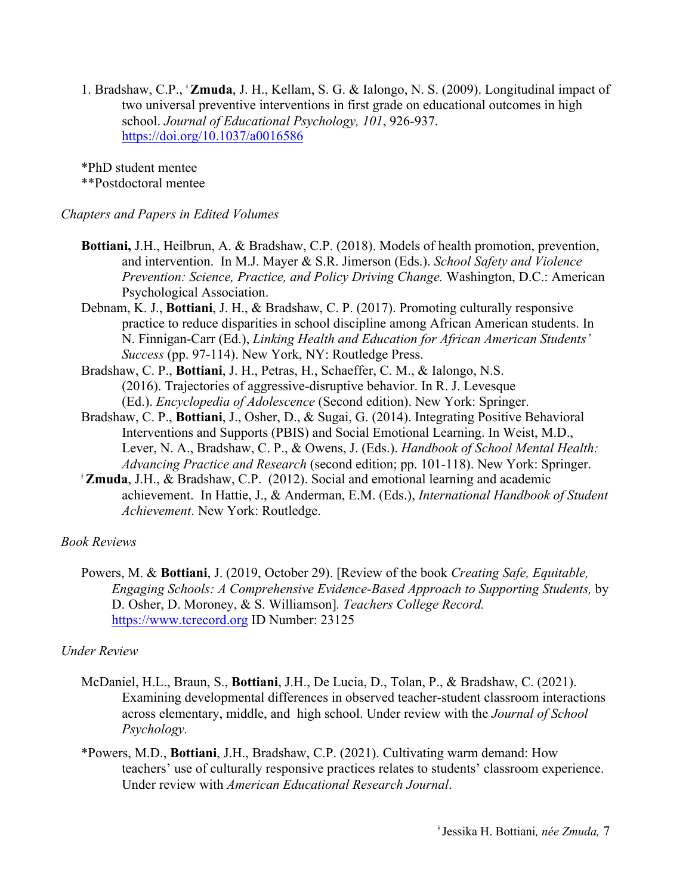1. Bradshaw, C.P., ǂ **Zmuda**, J. H., Kellam, S. G. & Ialongo, N. S. (2009). Longitudinal impact of two universal preventive interventions in first grade on educational outcomes in high school. *Journal of Educational Psychology, 101*, 926-937. https://doi.org/10.1037/a0016586

\*PhD student mentee \*\*Postdoctoral mentee

#### *Chapters and Papers in Edited Volumes*

- **Bottiani,** J.H., Heilbrun, A. & Bradshaw, C.P. (2018). Models of health promotion, prevention, and intervention. In M.J. Mayer & S.R. Jimerson (Eds.). *School Safety and Violence Prevention: Science, Practice, and Policy Driving Change.* Washington, D.C.: American Psychological Association.
- Debnam, K. J., **Bottiani**, J. H., & Bradshaw, C. P. (2017). Promoting culturally responsive practice to reduce disparities in school discipline among African American students. In N. Finnigan-Carr (Ed.), *Linking Health and Education for African American Students' Success* (pp. 97-114). New York, NY: Routledge Press.
- Bradshaw, C. P., **Bottiani**, J. H., Petras, H., Schaeffer, C. M., & Ialongo, N.S. (2016). Trajectories of aggressive-disruptive behavior. In R. J. Levesque (Ed.). *Encyclopedia of Adolescence* (Second edition). New York: Springer.
- Bradshaw, C. P., **Bottiani**, J., Osher, D., & Sugai, G. (2014). Integrating Positive Behavioral Interventions and Supports (PBIS) and Social Emotional Learning. In Weist, M.D., Lever, N. A., Bradshaw, C. P., & Owens, J. (Eds.). *Handbook of School Mental Health: Advancing Practice and Research* (second edition; pp. 101-118). New York: Springer.
- <sup>ǂ</sup>**Zmuda**, J.H., & Bradshaw, C.P. (2012). Social and emotional learning and academic achievement. In Hattie, J., & Anderman, E.M. (Eds.), *International Handbook of Student Achievement*. New York: Routledge.

#### *Book Reviews*

Powers, M. & **Bottiani**, J. (2019, October 29). [Review of the book *Creating Safe, Equitable, Engaging Schools: A Comprehensive Evidence-Based Approach to Supporting Students,* by D. Osher, D. Moroney, & S. Williamson]*. Teachers College Record.*  https://www.tcrecord.org ID Number: 23125

#### *Under Review*

- McDaniel, H.L., Braun, S., **Bottiani**, J.H., De Lucia, D., Tolan, P., & Bradshaw, C. (2021). Examining developmental differences in observed teacher-student classroom interactions across elementary, middle, and high school. Under review with the *Journal of School Psychology.*
- \*Powers, M.D., **Bottiani**, J.H., Bradshaw, C.P. (2021). Cultivating warm demand: How teachers' use of culturally responsive practices relates to students' classroom experience. Under review with *American Educational Research Journal*.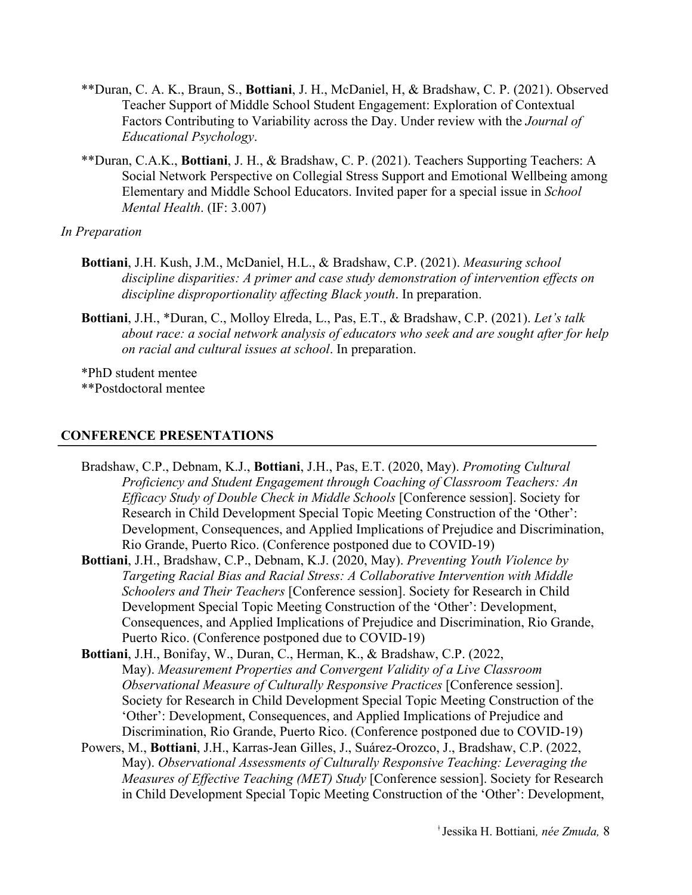- \*\*Duran, C. A. K., Braun, S., **Bottiani**, J. H., McDaniel, H, & Bradshaw, C. P. (2021). Observed Teacher Support of Middle School Student Engagement: Exploration of Contextual Factors Contributing to Variability across the Day. Under review with the *Journal of Educational Psychology*.
- \*\*Duran, C.A.K., **Bottiani**, J. H., & Bradshaw, C. P. (2021). Teachers Supporting Teachers: A Social Network Perspective on Collegial Stress Support and Emotional Wellbeing among Elementary and Middle School Educators. Invited paper for a special issue in *School Mental Health*. (IF: 3.007)

#### *In Preparation*

- **Bottiani**, J.H. Kush, J.M., McDaniel, H.L., & Bradshaw, C.P. (2021). *Measuring school discipline disparities: A primer and case study demonstration of intervention effects on discipline disproportionality affecting Black youth*. In preparation.
- **Bottiani**, J.H., \*Duran, C., Molloy Elreda, L., Pas, E.T., & Bradshaw, C.P. (2021). *Let's talk about race: a social network analysis of educators who seek and are sought after for help on racial and cultural issues at school*. In preparation.

\*PhD student mentee \*\*Postdoctoral mentee

#### **CONFERENCE PRESENTATIONS**

- Bradshaw, C.P., Debnam, K.J., **Bottiani**, J.H., Pas, E.T. (2020, May). *Promoting Cultural Proficiency and Student Engagement through Coaching of Classroom Teachers: An Efficacy Study of Double Check in Middle Schools* [Conference session]. Society for Research in Child Development Special Topic Meeting Construction of the 'Other': Development, Consequences, and Applied Implications of Prejudice and Discrimination, Rio Grande, Puerto Rico. (Conference postponed due to COVID-19)
- **Bottiani**, J.H., Bradshaw, C.P., Debnam, K.J. (2020, May). *Preventing Youth Violence by Targeting Racial Bias and Racial Stress: A Collaborative Intervention with Middle Schoolers and Their Teachers* [Conference session]. Society for Research in Child Development Special Topic Meeting Construction of the 'Other': Development, Consequences, and Applied Implications of Prejudice and Discrimination, Rio Grande, Puerto Rico. (Conference postponed due to COVID-19)
- **Bottiani**, J.H., Bonifay, W., Duran, C., Herman, K., & Bradshaw, C.P. (2022, May). *Measurement Properties and Convergent Validity of a Live Classroom Observational Measure of Culturally Responsive Practices* [Conference session]. Society for Research in Child Development Special Topic Meeting Construction of the 'Other': Development, Consequences, and Applied Implications of Prejudice and Discrimination, Rio Grande, Puerto Rico. (Conference postponed due to COVID-19)
- Powers, M., **Bottiani**, J.H., Karras-Jean Gilles, J., Suárez-Orozco, J., Bradshaw, C.P. (2022, May). *Observational Assessments of Culturally Responsive Teaching: Leveraging the Measures of Effective Teaching (MET) Study* [Conference session]. Society for Research in Child Development Special Topic Meeting Construction of the 'Other': Development,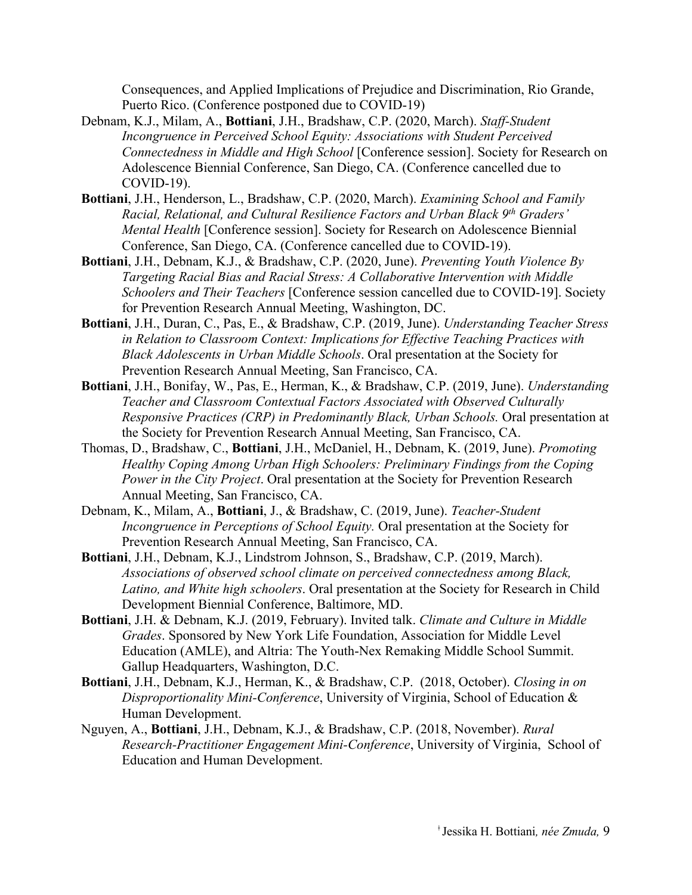Consequences, and Applied Implications of Prejudice and Discrimination, Rio Grande, Puerto Rico. (Conference postponed due to COVID-19)

- Debnam, K.J., Milam, A., **Bottiani**, J.H., Bradshaw, C.P. (2020, March). *Staff-Student Incongruence in Perceived School Equity: Associations with Student Perceived Connectedness in Middle and High School* [Conference session]. Society for Research on Adolescence Biennial Conference, San Diego, CA. (Conference cancelled due to COVID-19).
- **Bottiani**, J.H., Henderson, L., Bradshaw, C.P. (2020, March). *Examining School and Family Racial, Relational, and Cultural Resilience Factors and Urban Black 9th Graders' Mental Health* [Conference session]. Society for Research on Adolescence Biennial Conference, San Diego, CA. (Conference cancelled due to COVID-19).
- **Bottiani**, J.H., Debnam, K.J., & Bradshaw, C.P. (2020, June). *Preventing Youth Violence By Targeting Racial Bias and Racial Stress: A Collaborative Intervention with Middle Schoolers and Their Teachers* [Conference session cancelled due to COVID-19]. Society for Prevention Research Annual Meeting, Washington, DC.
- **Bottiani**, J.H., Duran, C., Pas, E., & Bradshaw, C.P. (2019, June). *Understanding Teacher Stress in Relation to Classroom Context: Implications for Effective Teaching Practices with Black Adolescents in Urban Middle Schools*. Oral presentation at the Society for Prevention Research Annual Meeting, San Francisco, CA.
- **Bottiani**, J.H., Bonifay, W., Pas, E., Herman, K., & Bradshaw, C.P. (2019, June). *Understanding Teacher and Classroom Contextual Factors Associated with Observed Culturally Responsive Practices (CRP) in Predominantly Black, Urban Schools.* Oral presentation at the Society for Prevention Research Annual Meeting, San Francisco, CA.
- Thomas, D., Bradshaw, C., **Bottiani**, J.H., McDaniel, H., Debnam, K. (2019, June). *Promoting Healthy Coping Among Urban High Schoolers: Preliminary Findings from the Coping Power in the City Project*. Oral presentation at the Society for Prevention Research Annual Meeting, San Francisco, CA.
- Debnam, K., Milam, A., **Bottiani**, J., & Bradshaw, C. (2019, June). *Teacher-Student Incongruence in Perceptions of School Equity.* Oral presentation at the Society for Prevention Research Annual Meeting, San Francisco, CA.
- **Bottiani**, J.H., Debnam, K.J., Lindstrom Johnson, S., Bradshaw, C.P. (2019, March). *Associations of observed school climate on perceived connectedness among Black, Latino, and White high schoolers*. Oral presentation at the Society for Research in Child Development Biennial Conference, Baltimore, MD.
- **Bottiani**, J.H. & Debnam, K.J. (2019, February). Invited talk. *Climate and Culture in Middle Grades*. Sponsored by New York Life Foundation, Association for Middle Level Education (AMLE), and Altria: The Youth-Nex Remaking Middle School Summit. Gallup Headquarters, Washington, D.C.
- **Bottiani**, J.H., Debnam, K.J., Herman, K., & Bradshaw, C.P. (2018, October). *Closing in on Disproportionality Mini-Conference*, University of Virginia, School of Education & Human Development.
- Nguyen, A., **Bottiani**, J.H., Debnam, K.J., & Bradshaw, C.P. (2018, November). *Rural Research-Practitioner Engagement Mini-Conference*, University of Virginia, School of Education and Human Development.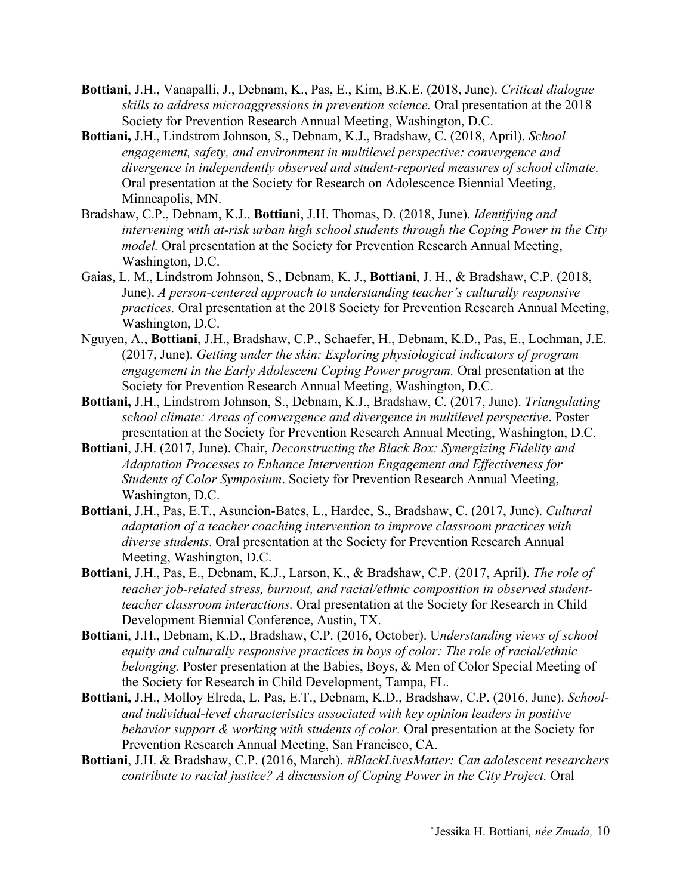- **Bottiani**, J.H., Vanapalli, J., Debnam, K., Pas, E., Kim, B.K.E. (2018, June). *Critical dialogue skills to address microaggressions in prevention science.* Oral presentation at the 2018 Society for Prevention Research Annual Meeting, Washington, D.C.
- **Bottiani,** J.H., Lindstrom Johnson, S., Debnam, K.J., Bradshaw, C. (2018, April). *School engagement, safety, and environment in multilevel perspective: convergence and divergence in independently observed and student-reported measures of school climate*. Oral presentation at the Society for Research on Adolescence Biennial Meeting, Minneapolis, MN.
- Bradshaw, C.P., Debnam, K.J., **Bottiani**, J.H. Thomas, D. (2018, June). *Identifying and intervening with at-risk urban high school students through the Coping Power in the City model.* Oral presentation at the Society for Prevention Research Annual Meeting, Washington, D.C.
- Gaias, L. M., Lindstrom Johnson, S., Debnam, K. J., **Bottiani**, J. H., & Bradshaw, C.P. (2018, June). *A person-centered approach to understanding teacher's culturally responsive practices.* Oral presentation at the 2018 Society for Prevention Research Annual Meeting, Washington, D.C.
- Nguyen, A., **Bottiani**, J.H., Bradshaw, C.P., Schaefer, H., Debnam, K.D., Pas, E., Lochman, J.E. (2017, June). *Getting under the skin: Exploring physiological indicators of program engagement in the Early Adolescent Coping Power program.* Oral presentation at the Society for Prevention Research Annual Meeting, Washington, D.C.
- **Bottiani,** J.H., Lindstrom Johnson, S., Debnam, K.J., Bradshaw, C. (2017, June). *Triangulating school climate: Areas of convergence and divergence in multilevel perspective*. Poster presentation at the Society for Prevention Research Annual Meeting, Washington, D.C.
- **Bottiani**, J.H. (2017, June). Chair, *Deconstructing the Black Box: Synergizing Fidelity and Adaptation Processes to Enhance Intervention Engagement and Effectiveness for Students of Color Symposium*. Society for Prevention Research Annual Meeting, Washington, D.C.
- **Bottiani**, J.H., Pas, E.T., Asuncion-Bates, L., Hardee, S., Bradshaw, C. (2017, June). *Cultural adaptation of a teacher coaching intervention to improve classroom practices with diverse students*. Oral presentation at the Society for Prevention Research Annual Meeting, Washington, D.C.
- **Bottiani**, J.H., Pas, E., Debnam, K.J., Larson, K., & Bradshaw, C.P. (2017, April). *The role of teacher job-related stress, burnout, and racial/ethnic composition in observed studentteacher classroom interactions.* Oral presentation at the Society for Research in Child Development Biennial Conference, Austin, TX.
- **Bottiani**, J.H., Debnam, K.D., Bradshaw, C.P. (2016, October). U*nderstanding views of school equity and culturally responsive practices in boys of color: The role of racial/ethnic belonging.* Poster presentation at the Babies, Boys, & Men of Color Special Meeting of the Society for Research in Child Development, Tampa, FL.
- **Bottiani,** J.H., Molloy Elreda, L. Pas, E.T., Debnam, K.D., Bradshaw, C.P. (2016, June). *Schooland individual-level characteristics associated with key opinion leaders in positive behavior support & working with students of color.* Oral presentation at the Society for Prevention Research Annual Meeting, San Francisco, CA.
- **Bottiani**, J.H. & Bradshaw, C.P. (2016, March). *#BlackLivesMatter: Can adolescent researchers contribute to racial justice? A discussion of Coping Power in the City Project.* Oral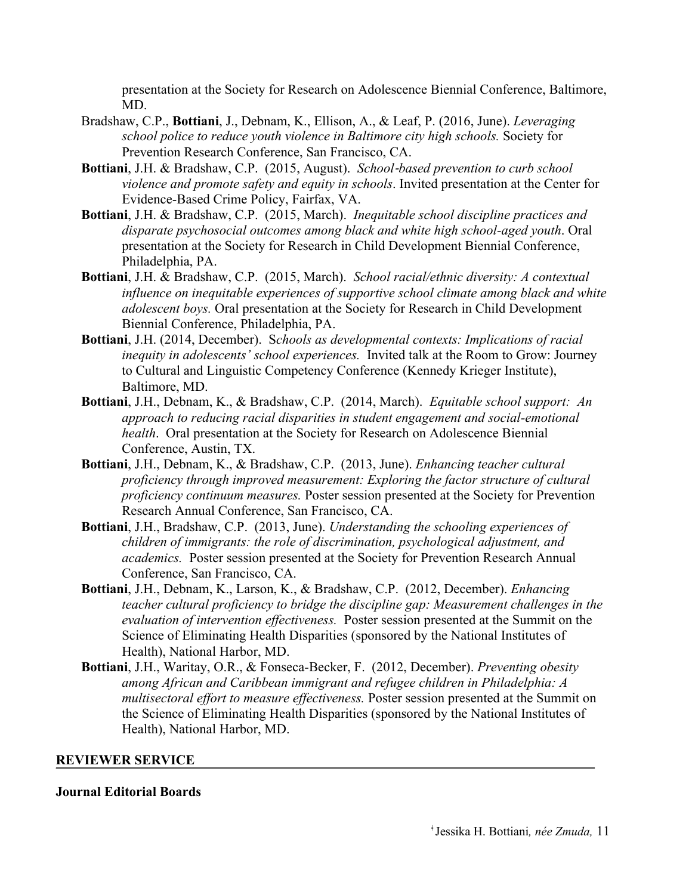presentation at the Society for Research on Adolescence Biennial Conference, Baltimore, MD.

- Bradshaw, C.P., **Bottiani**, J., Debnam, K., Ellison, A., & Leaf, P. (2016, June). *Leveraging school police to reduce youth violence in Baltimore city high schools.* Society for Prevention Research Conference, San Francisco, CA.
- **Bottiani**, J.H. & Bradshaw, C.P. (2015, August). *School*-*based prevention to curb school violence and promote safety and equity in schools*. Invited presentation at the Center for Evidence-Based Crime Policy, Fairfax, VA.
- **Bottiani**, J.H. & Bradshaw, C.P. (2015, March). *Inequitable school discipline practices and disparate psychosocial outcomes among black and white high school-aged youth*. Oral presentation at the Society for Research in Child Development Biennial Conference, Philadelphia, PA.
- **Bottiani**, J.H. & Bradshaw, C.P. (2015, March). *School racial/ethnic diversity: A contextual influence on inequitable experiences of supportive school climate among black and white adolescent boys.* Oral presentation at the Society for Research in Child Development Biennial Conference, Philadelphia, PA.
- **Bottiani**, J.H. (2014, December). S*chools as developmental contexts: Implications of racial inequity in adolescents' school experiences.* Invited talk at the Room to Grow: Journey to Cultural and Linguistic Competency Conference (Kennedy Krieger Institute), Baltimore, MD.
- **Bottiani**, J.H., Debnam, K., & Bradshaw, C.P. (2014, March). *Equitable school support: An approach to reducing racial disparities in student engagement and social-emotional health*. Oral presentation at the Society for Research on Adolescence Biennial Conference, Austin, TX.
- **Bottiani**, J.H., Debnam, K., & Bradshaw, C.P. (2013, June). *Enhancing teacher cultural proficiency through improved measurement: Exploring the factor structure of cultural proficiency continuum measures.* Poster session presented at the Society for Prevention Research Annual Conference, San Francisco, CA.
- **Bottiani**, J.H., Bradshaw, C.P. (2013, June). *Understanding the schooling experiences of children of immigrants: the role of discrimination, psychological adjustment, and academics.* Poster session presented at the Society for Prevention Research Annual Conference, San Francisco, CA.
- **Bottiani**, J.H., Debnam, K., Larson, K., & Bradshaw, C.P. (2012, December). *Enhancing teacher cultural proficiency to bridge the discipline gap: Measurement challenges in the evaluation of intervention effectiveness.* Poster session presented at the Summit on the Science of Eliminating Health Disparities (sponsored by the National Institutes of Health), National Harbor, MD.
- **Bottiani**, J.H., Waritay, O.R., & Fonseca-Becker, F. (2012, December). *Preventing obesity among African and Caribbean immigrant and refugee children in Philadelphia: A multisectoral effort to measure effectiveness.* Poster session presented at the Summit on the Science of Eliminating Health Disparities (sponsored by the National Institutes of Health), National Harbor, MD.

#### **REVIEWER SERVICE**

#### **Journal Editorial Boards**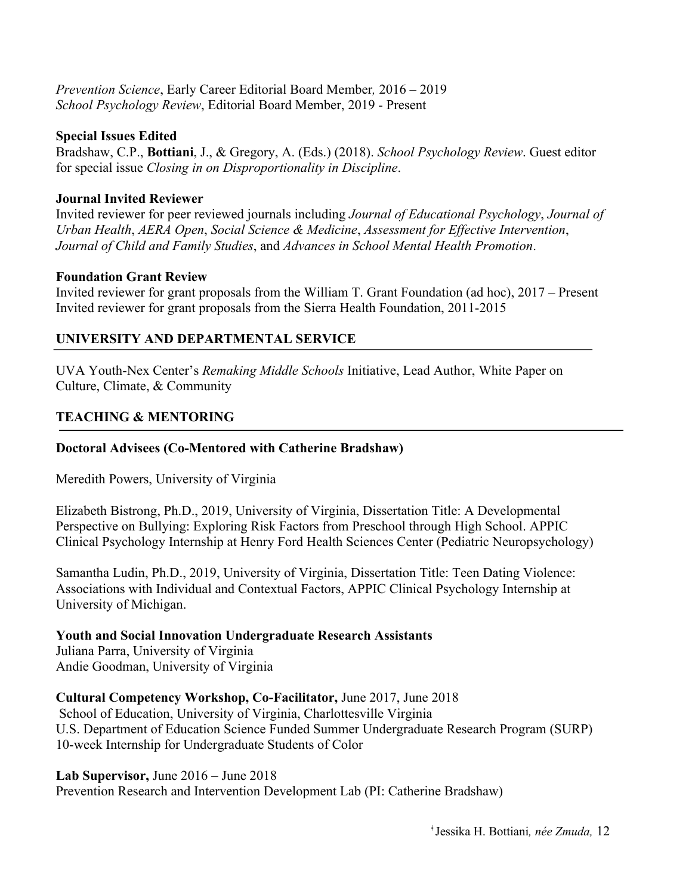### *Prevention Science*, Early Career Editorial Board Member*,* 2016 – 2019 *School Psychology Review*, Editorial Board Member, 2019 - Present

### **Special Issues Edited**

Bradshaw, C.P., **Bottiani**, J., & Gregory, A. (Eds.) (2018). *School Psychology Review*. Guest editor for special issue *Closing in on Disproportionality in Discipline*.

### **Journal Invited Reviewer**

Invited reviewer for peer reviewed journals including *Journal of Educational Psychology*, *Journal of Urban Health*, *AERA Open*, *Social Science & Medicine*, *Assessment for Effective Intervention*, *Journal of Child and Family Studies*, and *Advances in School Mental Health Promotion*.

### **Foundation Grant Review**

Invited reviewer for grant proposals from the William T. Grant Foundation (ad hoc), 2017 – Present Invited reviewer for grant proposals from the Sierra Health Foundation, 2011-2015

# **UNIVERSITY AND DEPARTMENTAL SERVICE**

UVA Youth-Nex Center's *Remaking Middle Schools* Initiative, Lead Author, White Paper on Culture, Climate, & Community

# **TEACHING & MENTORING**

# **Doctoral Advisees (Co-Mentored with Catherine Bradshaw)**

Meredith Powers, University of Virginia

Elizabeth Bistrong, Ph.D., 2019, University of Virginia, Dissertation Title: A Developmental Perspective on Bullying: Exploring Risk Factors from Preschool through High School. APPIC Clinical Psychology Internship at Henry Ford Health Sciences Center (Pediatric Neuropsychology)

Samantha Ludin, Ph.D., 2019, University of Virginia, Dissertation Title: Teen Dating Violence: Associations with Individual and Contextual Factors, APPIC Clinical Psychology Internship at University of Michigan.

# **Youth and Social Innovation Undergraduate Research Assistants**

Juliana Parra, University of Virginia Andie Goodman, University of Virginia

# **Cultural Competency Workshop, Co-Facilitator,** June 2017, June 2018

School of Education, University of Virginia, Charlottesville Virginia U.S. Department of Education Science Funded Summer Undergraduate Research Program (SURP) 10-week Internship for Undergraduate Students of Color

### **Lab Supervisor,** June 2016 – June 2018

Prevention Research and Intervention Development Lab (PI: Catherine Bradshaw)